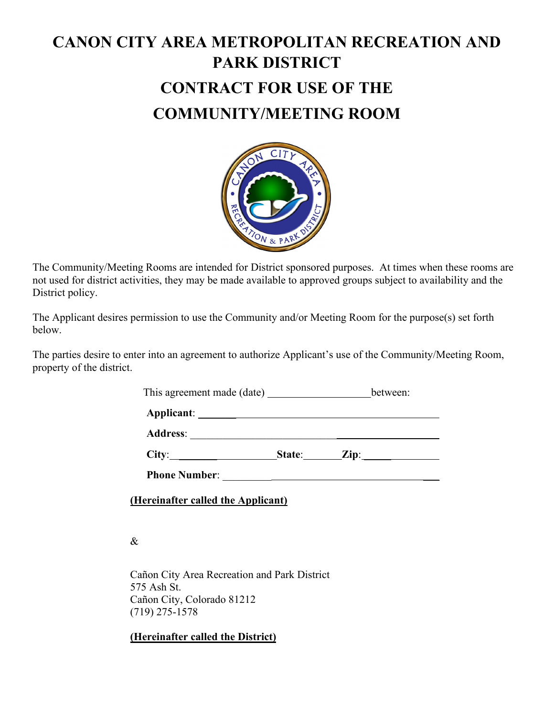# **CANON CITY AREA METROPOLITAN RECREATION AND PARK DISTRICT CONTRACT FOR USE OF THE COMMUNITY/MEETING ROOM**



The Community/Meeting Rooms are intended for District sponsored purposes. At times when these rooms are not used for district activities, they may be made available to approved groups subject to availability and the District policy.

The Applicant desires permission to use the Community and/or Meeting Room for the purpose(s) set forth below.

The parties desire to enter into an agreement to authorize Applicant's use of the Community/Meeting Room, property of the district.

This agreement made (date) between:

**Applicant**: \_\_\_\_\_\_\_

**Address**: \_\_\_\_\_\_\_\_\_\_\_\_\_\_\_\_\_\_\_\_\_\_\_\_\_\_\_

| City: | State: | Zip: |  |
|-------|--------|------|--|
|       |        |      |  |

 **Phone Number**: \_\_\_\_\_\_\_\_\_ \_\_\_

**(Hereinafter called the Applicant)**

&

Cañon City Area Recreation and Park District 575 Ash St. Cañon City, Colorado 81212 (719) 275-1578

**(Hereinafter called the District)**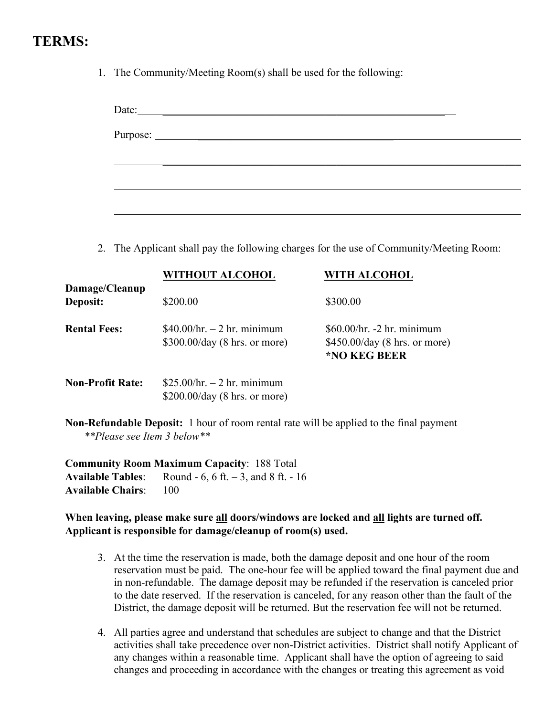### **TERMS:**

1. The Community/Meeting Room(s) shall be used for the following:

| Date:<br><u> 1989 - Johann Harry Barn, mars and de Branch and de Branch and de Branch and de Branch and de Branch and de Br</u> |  |
|---------------------------------------------------------------------------------------------------------------------------------|--|
|                                                                                                                                 |  |
|                                                                                                                                 |  |
|                                                                                                                                 |  |
|                                                                                                                                 |  |
|                                                                                                                                 |  |

2. The Applicant shall pay the following charges for the use of Community/Meeting Room:

|                         | <b>WITHOUT ALCOHOL</b>                                         | <b>WITH ALCOHOL</b>                                                           |
|-------------------------|----------------------------------------------------------------|-------------------------------------------------------------------------------|
| Damage/Cleanup          |                                                                |                                                                               |
| Deposit:                | \$200.00                                                       | \$300.00                                                                      |
| <b>Rental Fees:</b>     | $$40.00/hr. - 2 hr. minimum$<br>$$300.00/day$ (8 hrs. or more) | $$60.00/hr. -2 hr. minimum$<br>$$450.00/day$ (8 hrs. or more)<br>*NO KEG BEER |
| <b>Non-Profit Rate:</b> | \$25.00/hr. – 2 hr. minimum<br>\$200.00/day (8 hrs. or more)   |                                                                               |

**Non-Refundable Deposit:** 1 hour of room rental rate will be applied to the final payment  *\*\*Please see Item 3 below\*\**

**Community Room Maximum Capacity**: 188 Total **Available Tables**: Round - 6, 6 ft. – 3, and 8 ft. - 16 **Available Chairs**: 100

#### **When leaving, please make sure all doors/windows are locked and all lights are turned off. Applicant is responsible for damage/cleanup of room(s) used.**

- 3. At the time the reservation is made, both the damage deposit and one hour of the room reservation must be paid. The one-hour fee will be applied toward the final payment due and in non-refundable. The damage deposit may be refunded if the reservation is canceled prior to the date reserved. If the reservation is canceled, for any reason other than the fault of the District, the damage deposit will be returned. But the reservation fee will not be returned.
- 4. All parties agree and understand that schedules are subject to change and that the District activities shall take precedence over non-District activities. District shall notify Applicant of any changes within a reasonable time. Applicant shall have the option of agreeing to said changes and proceeding in accordance with the changes or treating this agreement as void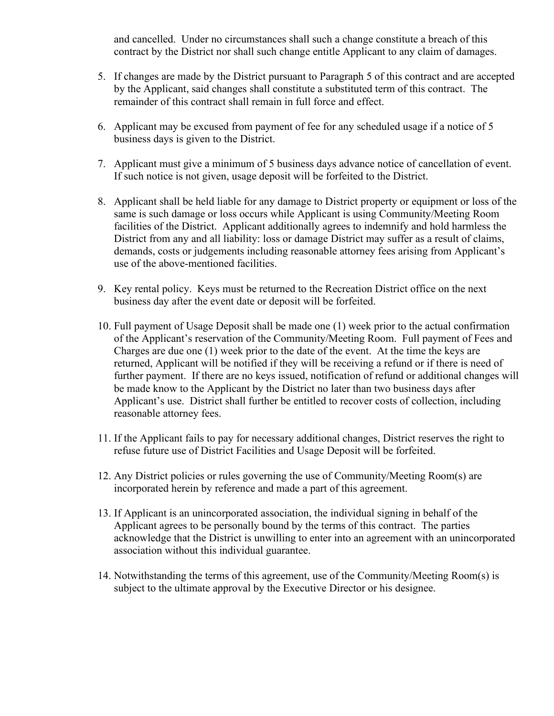and cancelled. Under no circumstances shall such a change constitute a breach of this contract by the District nor shall such change entitle Applicant to any claim of damages.

- 5. If changes are made by the District pursuant to Paragraph 5 of this contract and are accepted by the Applicant, said changes shall constitute a substituted term of this contract. The remainder of this contract shall remain in full force and effect.
- 6. Applicant may be excused from payment of fee for any scheduled usage if a notice of 5 business days is given to the District.
- 7. Applicant must give a minimum of 5 business days advance notice of cancellation of event. If such notice is not given, usage deposit will be forfeited to the District.
- 8. Applicant shall be held liable for any damage to District property or equipment or loss of the same is such damage or loss occurs while Applicant is using Community/Meeting Room facilities of the District. Applicant additionally agrees to indemnify and hold harmless the District from any and all liability: loss or damage District may suffer as a result of claims, demands, costs or judgements including reasonable attorney fees arising from Applicant's use of the above-mentioned facilities.
- 9. Key rental policy. Keys must be returned to the Recreation District office on the next business day after the event date or deposit will be forfeited.
- 10. Full payment of Usage Deposit shall be made one (1) week prior to the actual confirmation of the Applicant's reservation of the Community/Meeting Room. Full payment of Fees and Charges are due one (1) week prior to the date of the event. At the time the keys are returned, Applicant will be notified if they will be receiving a refund or if there is need of further payment. If there are no keys issued, notification of refund or additional changes will be made know to the Applicant by the District no later than two business days after Applicant's use. District shall further be entitled to recover costs of collection, including reasonable attorney fees.
- 11. If the Applicant fails to pay for necessary additional changes, District reserves the right to refuse future use of District Facilities and Usage Deposit will be forfeited.
- 12. Any District policies or rules governing the use of Community/Meeting Room(s) are incorporated herein by reference and made a part of this agreement.
- 13. If Applicant is an unincorporated association, the individual signing in behalf of the Applicant agrees to be personally bound by the terms of this contract. The parties acknowledge that the District is unwilling to enter into an agreement with an unincorporated association without this individual guarantee.
- 14. Notwithstanding the terms of this agreement, use of the Community/Meeting Room(s) is subject to the ultimate approval by the Executive Director or his designee.